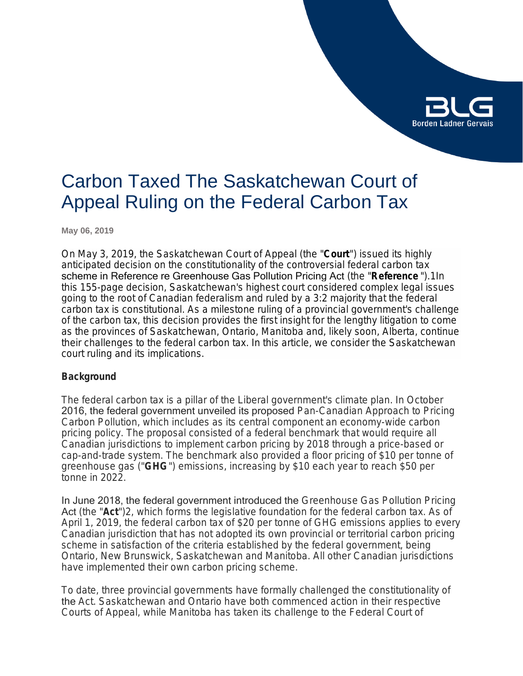

# Carbon Taxed The Saskatchewan Court of Appeal Ruling on the Federal Carbon Tax

**May 06, 2019**

On May 3, 2019, the Saskatchewan Court of Appeal (the "**Court**") issued its highly anticipated decision on the constitutionality of the controversial federal carbon tax scheme in Reference re Greenhouse Gas Pollution Pricing Act (the "*Reference* ").1In this 155-page decision, Saskatchewan's highest court considered complex legal issues going to the root of Canadian federalism and ruled by a 3:2 majority that the federal carbon tax is constitutional. As a milestone ruling of a provincial government's challenge of the carbon tax, this decision provides the first insight for the lengthy litigation to come as the provinces of Saskatchewan, Ontario, Manitoba and, likely soon, Alberta, continue their challenges to the federal carbon tax. In this article, we consider the Saskatchewan court ruling and its implications.

### **Background**

The federal carbon tax is a pillar of the Liberal government's climate plan. In October 2016, the federal government unveiled its proposed *Pan-Canadian Approach to Pricing Carbon Pollution*, which includes as its central component an economy-wide carbon pricing policy. The proposal consisted of a federal benchmark that would require all Canadian jurisdictions to implement carbon pricing by 2018 through a price-based or cap-and-trade system. The benchmark also provided a floor pricing of \$10 per tonne of greenhouse gas ("**GHG**") emissions, increasing by \$10 each year to reach \$50 per tonne in 2022.

In June 2018, the federal government introduced the *Greenhouse Gas Pollution Pricing*  Act (the "*Act*")2, which forms the legislative foundation for the federal carbon tax. As of April 1, 2019, the federal carbon tax of \$20 per tonne of GHG emissions applies to every Canadian jurisdiction that has not adopted its own provincial or territorial carbon pricing scheme in satisfaction of the criteria established by the federal government, being Ontario, New Brunswick, Saskatchewan and Manitoba. All other Canadian jurisdictions have implemented their own carbon pricing scheme.

To date, three provincial governments have formally challenged the constitutionality of the *Act*. Saskatchewan and Ontario have both commenced action in their respective Courts of Appeal, while Manitoba has taken its challenge to the Federal Court of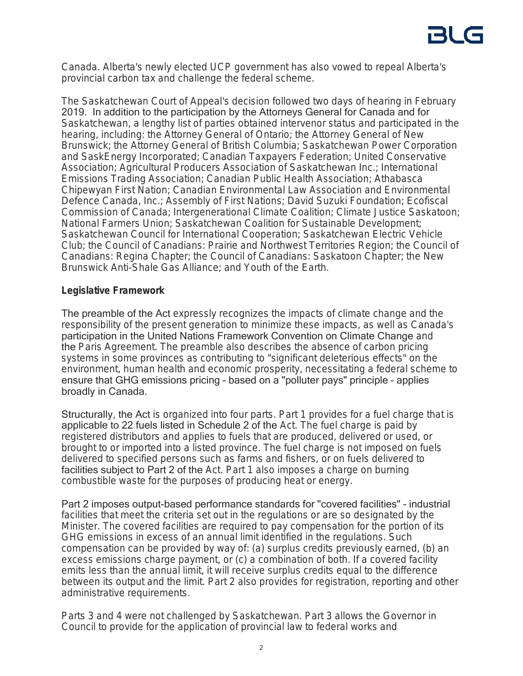Canada. Alberta's newly elected UCP government has also vowed to repeal Alberta's provincial carbon tax and challenge the federal scheme.

The Saskatchewan Court of Appeal's decision followed two days of hearing in February 2019. In addition to the participation by the Attorneys General for Canada and for Saskatchewan, a lengthy list of parties obtained intervenor status and participated in the hearing, including: the Attorney General of Ontario; the Attorney General of New Brunswick; the Attorney General of British Columbia; Saskatchewan Power Corporation and SaskEnergy Incorporated; Canadian Taxpayers Federation; United Conservative Association; Agricultural Producers Association of Saskatchewan Inc.; International Emissions Trading Association; Canadian Public Health Association; Athabasca Chipewyan First Nation; Canadian Environmental Law Association and Environmental Defence Canada, Inc.; Assembly of First Nations; David Suzuki Foundation; Ecofiscal Commission of Canada; Intergenerational Climate Coalition; Climate Justice Saskatoon; National Farmers Union; Saskatchewan Coalition for Sustainable Development; Saskatchewan Council for International Cooperation; Saskatchewan Electric Vehicle Club; the Council of Canadians: Prairie and Northwest Territories Region; the Council of Canadians: Regina Chapter; the Council of Canadians: Saskatoon Chapter; the New Brunswick Anti-Shale Gas Alliance; and Youth of the Earth.

### **Legislative Framework**

The preamble of the Act expressly recognizes the impacts of climate change and the responsibility of the present generation to minimize these impacts, as well as Canada's participation in the United Nations Framework Convention on Climate Change and the *Paris Agreement*. The preamble also describes the absence of carbon pricing systems in some provinces as contributing to "significant deleterious effects" on the environment, human health and economic prosperity, necessitating a federal scheme to ensure that GHG emissions pricing – based on a "polluter pays" principle – applies broadly in Canada.

Structurally, the Act is organized into four parts. Part 1 provides for a fuel charge that is applicable to 22 fuels listed in Schedule 2 of the *Act*. The fuel charge is paid by registered distributors and applies to fuels that are produced, delivered or used, or brought to or imported into a listed province. The fuel charge is not imposed on fuels delivered to specified persons such as farms and fishers, or on fuels delivered to facilities subject to Part 2 of the *Act*. Part 1 also imposes a charge on burning combustible waste for the purposes of producing heat or energy.

Part 2 imposes output-based performance standards for "covered facilities" – industrial facilities that meet the criteria set out in the regulations or are so designated by the Minister. The covered facilities are required to pay compensation for the portion of its GHG emissions in excess of an annual limit identified in the regulations. Such compensation can be provided by way of: (a) surplus credits previously earned, (b) an excess emissions charge payment, or (c) a combination of both. If a covered facility emits less than the annual limit, it will receive surplus credits equal to the difference between its output and the limit. Part 2 also provides for registration, reporting and other administrative requirements.

Parts 3 and 4 were not challenged by Saskatchewan. Part 3 allows the Governor in Council to provide for the application of provincial law to federal works and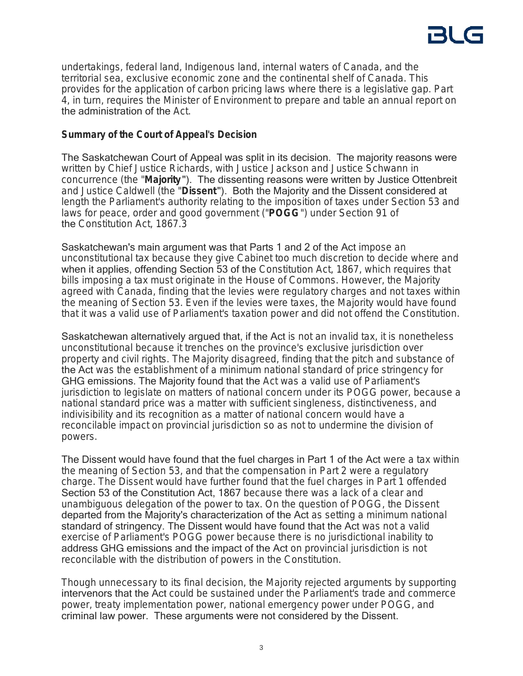undertakings, federal land, Indigenous land, internal waters of Canada, and the territorial sea, exclusive economic zone and the continental shelf of Canada. This provides for the application of carbon pricing laws where there is a legislative gap. Part 4, in turn, requires the Minister of Environment to prepare and table an annual report on the administration of the *Act*.

### **Summary of the Court of Appeal's Decision**

The Saskatchewan Court of Appeal was split in its decision. The majority reasons were written by Chief Justice Richards, with Justice Jackson and Justice Schwann in concurrence (the "**Majority** "). The dissenting reasons were written by Justice Ottenbreit and Justice Caldwell (the "**Dissent**"). Both the Majority and the Dissent considered at length the Parliament's authority relating to the imposition of taxes under Section 53 and laws for peace, order and good government ("**POGG**") under Section 91 of the *Constitution Act, 1867*.3

Saskatchewan's main argument was that Parts 1 and 2 of the Act impose an unconstitutional tax because they give Cabinet too much discretion to decide where and when it applies, offending Section 53 of the *Constitution Act, 1867*, which requires that bills imposing a tax must originate in the House of Commons. However, the Majority agreed with Canada, finding that the levies were regulatory charges and not taxes within the meaning of Section 53. Even if the levies were taxes, the Majority would have found that it was a valid use of Parliament's taxation power and did not offend the Constitution.

Saskatchewan alternatively argued that, if the Act is not an invalid tax, it is nonetheless unconstitutional because it trenches on the province's exclusive jurisdiction over property and civil rights. The Majority disagreed, finding that the pitch and substance of the Act was the establishment of a minimum national standard of price stringency for GHG emissions. The Majority found that the *Act* was a valid use of Parliament's jurisdiction to legislate on matters of national concern under its POGG power, because a national standard price was a matter with sufficient singleness, distinctiveness, and indivisibility and its recognition as a matter of national concern would have a reconcilable impact on provincial jurisdiction so as not to undermine the division of powers.

The Dissent would have found that the fuel charges in Part 1 of the Act were a tax within the meaning of Section 53, and that the compensation in Part 2 were a regulatory charge. The Dissent would have further found that the fuel charges in Part 1 offended Section 53 of the Constitution Act, 1867 because there was a lack of a clear and unambiguous delegation of the power to tax. On the question of POGG, the Dissent departed from the Majority's characterization of the Act as setting a minimum national standard of stringency. The Dissent would have found that the Act was not a valid exercise of Parliament's POGG power because there is no jurisdictional inability to address GHG emissions and the impact of the Act on provincial jurisdiction is not reconcilable with the distribution of powers in the Constitution.

Though unnecessary to its final decision, the Majority rejected arguments by supporting intervenors that the Act could be sustained under the Parliament's trade and commerce power, treaty implementation power, national emergency power under POGG, and criminal law power. These arguments were not considered by the Dissent.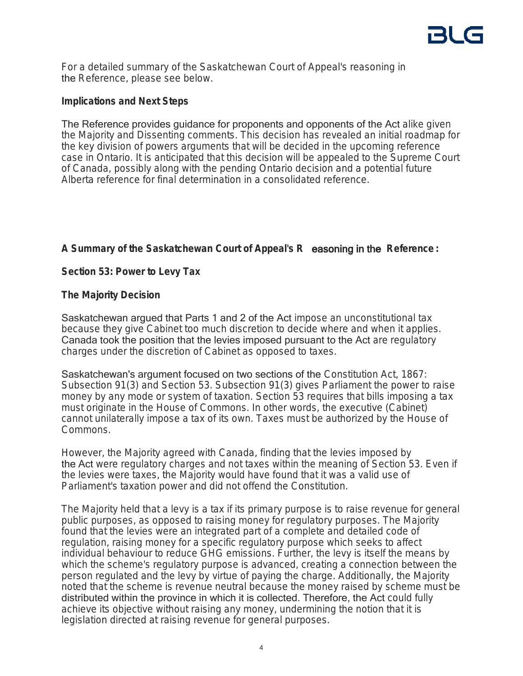For a detailed summary of the Saskatchewan Court of Appeal's reasoning in the *Reference*, please see below.

## **Implications and Next Steps**

The Reference provides guidance for proponents and opponents of the Act alike given the Majority and Dissenting comments. This decision has revealed an initial roadmap for the key division of powers arguments that will be decided in the upcoming reference case in Ontario. It is anticipated that this decision will be appealed to the Supreme Court of Canada, possibly along with the pending Ontario decision and a potential future Alberta reference for final determination in a consolidated reference.

## **A Summary of the Saskatchewan Court of Appeal's R** easoning in the *Reference* **:**

## **Section 53: Power to Levy Tax**

## **The Majority Decision**

Saskatchewan argued that Parts 1 and 2 of the Act impose an unconstitutional tax because they give Cabinet too much discretion to decide where and when it applies. Canada took the position that the levies imposed pursuant to the Act are regulatory charges under the discretion of Cabinet as opposed to taxes.

Saskatchewan's argument focused on two sections of the *Constitution Act, 1867*: Subsection 91(3) and Section 53. Subsection 91(3) gives Parliament the power to raise money by any mode or system of taxation. Section 53 requires that bills imposing a tax must originate in the House of Commons. In other words, the executive (Cabinet) cannot unilaterally impose a tax of its own. Taxes must be authorized by the House of Commons.

However, the Majority agreed with Canada, finding that the levies imposed by the Act were regulatory charges and not taxes within the meaning of Section 53. Even if the levies were taxes, the Majority would have found that it was a valid use of Parliament's taxation power and did not offend the Constitution.

The Majority held that a levy is a tax if its primary purpose is to raise revenue for general public purposes, as opposed to raising money for regulatory purposes. The Majority found that the levies were an integrated part of a complete and detailed code of regulation, raising money for a specific regulatory purpose which seeks to affect individual behaviour to reduce GHG emissions. Further, the levy is itself the means by which the scheme's regulatory purpose is advanced, creating a connection between the person regulated and the levy by virtue of paying the charge. Additionally, the Majority noted that the scheme is revenue neutral because the money raised by scheme must be distributed within the province in which it is collected. Therefore, the Act could fully achieve its objective without raising any money, undermining the notion that it is legislation directed at raising revenue for general purposes.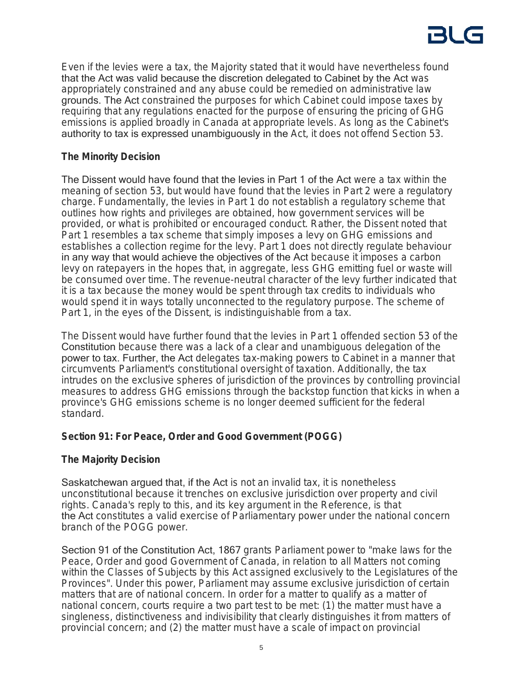Even if the levies were a tax, the Majority stated that it would have nevertheless found that the Act was valid because the discretion delegated to Cabinet by the Act was appropriately constrained and any abuse could be remedied on administrative law grounds. The Act constrained the purposes for which Cabinet could impose taxes by requiring that any regulations enacted for the purpose of ensuring the pricing of GHG emissions is applied broadly in Canada at appropriate levels. As long as the Cabinet's authority to tax is expressed unambiguously in the *Act*, it does not offend Section 53.

## **The Minority Decision**

The Dissent would have found that the levies in Part 1 of the Act were a tax within the meaning of section 53, but would have found that the levies in Part 2 were a regulatory charge. Fundamentally, the levies in Part 1 do not establish a regulatory scheme that outlines how rights and privileges are obtained, how government services will be provided, or what is prohibited or encouraged conduct. Rather, the Dissent noted that Part 1 resembles a tax scheme that simply imposes a levy on GHG emissions and establishes a collection regime for the levy. Part 1 does not directly regulate behaviour in any way that would achieve the objectives of the Act because it imposes a carbon levy on ratepayers in the hopes that, in aggregate, less GHG emitting fuel or waste will be consumed over time. The revenue-neutral character of the levy further indicated that it is a tax because the money would be spent through tax credits to individuals who would spend it in ways totally unconnected to the regulatory purpose. The scheme of Part 1, in the eyes of the Dissent, is indistinguishable from a tax.

The Dissent would have further found that the levies in Part 1 offended section 53 of the Constitution because there was a lack of a clear and unambiguous delegation of the power to tax. Further, the Act delegates tax-making powers to Cabinet in a manner that circumvents Parliament's constitutional oversight of taxation. Additionally, the tax intrudes on the exclusive spheres of jurisdiction of the provinces by controlling provincial measures to address GHG emissions through the backstop function that kicks in when a province's GHG emissions scheme is no longer deemed sufficient for the federal standard.

## **Section 91: For Peace, Order and Good Government (POGG)**

## **The Majority Decision**

Saskatchewan argued that, if the Act is not an invalid tax, it is nonetheless unconstitutional because it trenches on exclusive jurisdiction over property and civil rights. Canada's reply to this, and its key argument in the Reference, is that the Act constitutes a valid exercise of Parliamentary power under the national concern branch of the POGG power.

Section 91 of the Constitution Act, 1867 grants Parliament power to "make laws for the Peace, Order and good Government of Canada, in relation to all Matters not coming within the Classes of Subjects by this Act assigned exclusively to the Legislatures of the Provinces". Under this power, Parliament may assume exclusive jurisdiction of certain matters that are of national concern. In order for a matter to qualify as a matter of national concern, courts require a two part test to be met: (1) the matter must have a singleness, distinctiveness and indivisibility that clearly distinguishes it from matters of provincial concern; and (2) the matter must have a scale of impact on provincial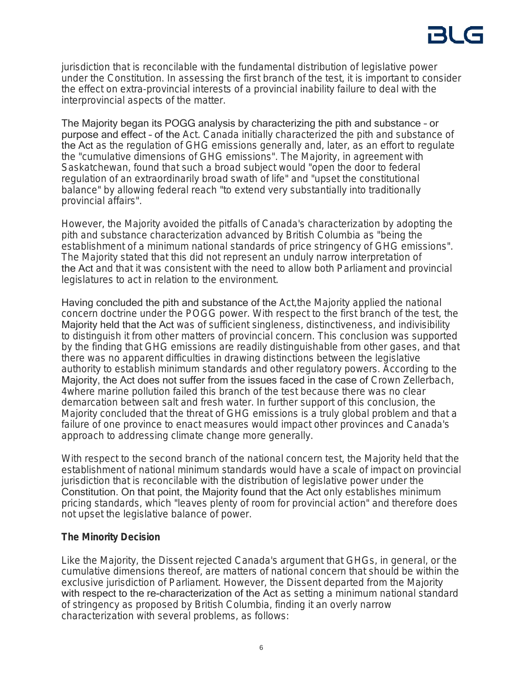jurisdiction that is reconcilable with the fundamental distribution of legislative power under the Constitution. In assessing the first branch of the test, it is important to consider the effect on extra-provincial interests of a provincial inability failure to deal with the interprovincial aspects of the matter.

The Majority began its POGG analysis by characterizing the pith and substance – or purpose and effect – of the *Act*. Canada initially characterized the pith and substance of the Act as the regulation of GHG emissions generally and, later, as an effort to regulate the "cumulative dimensions of GHG emissions". The Majority, in agreement with Saskatchewan, found that such a broad subject would "open the door to federal regulation of an extraordinarily broad swath of life" and "upset the constitutional balance" by allowing federal reach "to extend very substantially into traditionally provincial affairs".

However, the Majority avoided the pitfalls of Canada's characterization by adopting the pith and substance characterization advanced by British Columbia as "being the establishment of a minimum national standards of price stringency of GHG emissions". The Majority stated that this did not represent an unduly narrow interpretation of the Act and that it was consistent with the need to allow both Parliament and provincial legislatures to act in relation to the environment.

Having concluded the pith and substance of the *Act*,the Majority applied the national concern doctrine under the POGG power. With respect to the first branch of the test, the Majority held that the Act was of sufficient singleness, distinctiveness, and indivisibility to distinguish it from other matters of provincial concern. This conclusion was supported by the finding that GHG emissions are readily distinguishable from other gases, and that there was no apparent difficulties in drawing distinctions between the legislative authority to establish minimum standards and other regulatory powers. According to the Majority, the Act does not suffer from the issues faced in the case of *Crown Zellerbach,* 4where marine pollution failed this branch of the test because there was no clear demarcation between salt and fresh water. In further support of this conclusion, the Majority concluded that the threat of GHG emissions is a truly global problem and that a failure of one province to enact measures would impact other provinces and Canada's approach to addressing climate change more generally.

With respect to the second branch of the national concern test, the Majority held that the establishment of national minimum standards would have a scale of impact on provincial jurisdiction that is reconcilable with the distribution of legislative power under the Constitution. On that point, the Majority found that the Act only establishes minimum pricing standards, which "leaves plenty of room for provincial action" and therefore does not upset the legislative balance of power.

## **The Minority Decision**

Like the Majority, the Dissent rejected Canada's argument that GHGs, in general, or the cumulative dimensions thereof, are matters of national concern that should be within the exclusive jurisdiction of Parliament. However, the Dissent departed from the Majority with respect to the re-characterization of the Act as setting a minimum national standard of stringency as proposed by British Columbia, finding it an overly narrow characterization with several problems, as follows: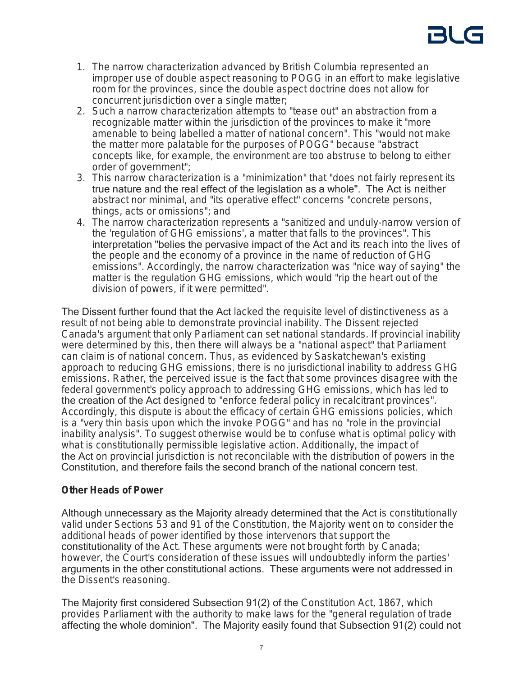- 1. The narrow characterization advanced by British Columbia represented an improper use of double aspect reasoning to POGG in an effort to make legislative room for the provinces, since the double aspect doctrine does not allow for concurrent jurisdiction over a single matter;
- 2. Such a narrow characterization attempts to "tease out" an abstraction from a recognizable matter within the jurisdiction of the provinces to make it "more amenable to being labelled a matter of national concern". This "would not make the matter more palatable for the purposes of POGG" because "abstract concepts like, for example, the environment are too abstruse to belong to either order of government";
- 3. This narrow characterization is a "minimization" that "does not fairly represent its true nature and the real effect of the legislation as a whole". The Act is neither abstract nor minimal, and "its operative effect" concerns "concrete persons, things, acts or omissions"; and
- 4. The narrow characterization represents a "sanitized and unduly-narrow version of the 'regulation of GHG emissions', a matter that falls to the provinces". This interpretation "belies the pervasive impact of the Act and its reach into the lives of the people and the economy of a province in the name of reduction of GHG emissions". Accordingly, the narrow characterization was "nice way of saying" the matter is the regulation GHG emissions, which would "rip the heart out of the division of powers, if it were permitted".

The Dissent further found that the Act lacked the requisite level of distinctiveness as a result of not being able to demonstrate provincial inability. The Dissent rejected Canada's argument that only Parliament can set national standards. If provincial inability were determined by this, then there will always be a "national aspect" that Parliament can claim is of national concern. Thus, as evidenced by Saskatchewan's existing approach to reducing GHG emissions, there is no jurisdictional inability to address GHG emissions. Rather, the perceived issue is the fact that some provinces disagree with the federal government's policy approach to addressing GHG emissions, which has led to the creation of the Act designed to "enforce federal policy in recalcitrant provinces". Accordingly, this dispute is about the efficacy of certain GHG emissions policies, which is a "very thin basis upon which the invoke POGG" and has no "role in the provincial inability analysis". To suggest otherwise would be to confuse what is optimal policy with what is constitutionally permissible legislative action. Additionally, the impact of the Act on provincial jurisdiction is not reconcilable with the distribution of powers in the Constitution, and therefore fails the second branch of the national concern test.

### **Other Heads of Power**

Although unnecessary as the Majority already determined that the Act is constitutionally valid under Sections 53 and 91 of the Constitution, the Majority went on to consider the additional heads of power identified by those intervenors that support the constitutionality of the *Act*. These arguments were not brought forth by Canada; however, the Court's consideration of these issues will undoubtedly inform the parties' arguments in the other constitutional actions. These arguments were not addressed in the Dissent's reasoning.

The Majority first considered Subsection 91(2) of the *Constitution Act, 1867*, which provides Parliament with the authority to make laws for the "general regulation of trade affecting the whole dominion". The Majority easily found that Subsection 91(2) could not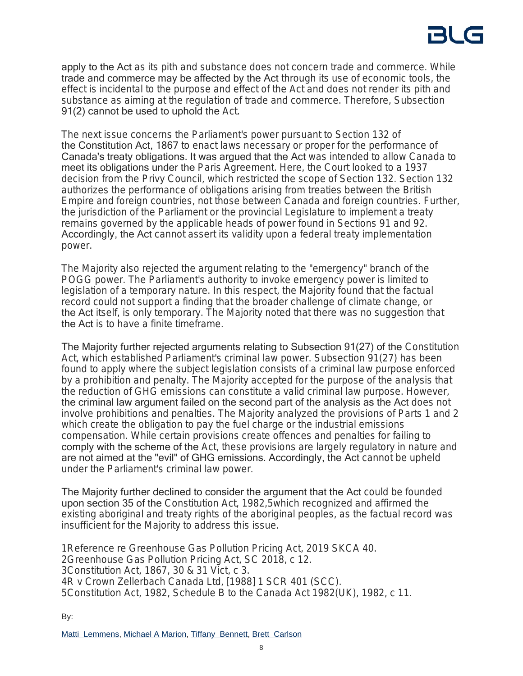apply to the Act as its pith and substance does not concern trade and commerce. While trade and commerce may be affected by the Act through its use of economic tools, the effect is incidental to the purpose and effect of the Act and does not render its pith and substance as aiming at the regulation of trade and commerce. Therefore, Subsection 91(2) cannot be used to uphold the *Act*.

The next issue concerns the Parliament's power pursuant to Section 132 of the Constitution Act, 1867 to enact laws necessary or proper for the performance of Canada's treaty obligations. It was argued that the Act was intended to allow Canada to meet its obligations under the *Paris Agreement*. Here, the Court looked to a 1937 decision from the Privy Council, which restricted the scope of Section 132. Section 132 authorizes the performance of obligations arising from treaties between the British Empire and foreign countries, not those between Canada and foreign countries. Further, the jurisdiction of the Parliament or the provincial Legislature to implement a treaty remains governed by the applicable heads of power found in Sections 91 and 92. Accordingly, the Act cannot assert its validity upon a federal treaty implementation power.

The Majority also rejected the argument relating to the "emergency" branch of the POGG power. The Parliament's authority to invoke emergency power is limited to legislation of a temporary nature. In this respect, the Majority found that the factual record could not support a finding that the broader challenge of climate change, or the Act itself, is only temporary. The Majority noted that there was no suggestion that the Act is to have a finite timeframe.

The Majority further rejected arguments relating to Subsection 91(27) of the *Constitution Act*, which established Parliament's criminal law power. Subsection 91(27) has been found to apply where the subject legislation consists of a criminal law purpose enforced by a prohibition and penalty. The Majority accepted for the purpose of the analysis that the reduction of GHG emissions can constitute a valid criminal law purpose. However, the criminal law argument failed on the second part of the analysis as the Act does not involve prohibitions and penalties. The Majority analyzed the provisions of Parts 1 and 2 which create the obligation to pay the fuel charge or the industrial emissions compensation. While certain provisions create offences and penalties for failing to comply with the scheme of the *Act*, these provisions are largely regulatory in nature and are not aimed at the "evil" of GHG emissions. Accordingly, the Act cannot be upheld under the Parliament's criminal law power.

The Majority further declined to consider the argument that the Act could be founded upon section 35 of the *Constitution Act, 1982*,5which recognized and affirmed the existing aboriginal and treaty rights of the aboriginal peoples, as the factual record was insufficient for the Majority to address this issue.

*Reference re Greenhouse Gas Pollution Pricing Act*, 2019 SKCA 40. *Greenhouse Gas Pollution Pricing Act*, SC 2018, c 12. *Constitution Act, 1867*, 30 & 31 Vict, c 3. *R v Crown Zellerbach Canada Ltd*, [1988] 1 SCR 401 (SCC). *Constitution Act, 1982*, Schedule B to the *Canada Act 1982*(UK), 1982, c 11.

By: